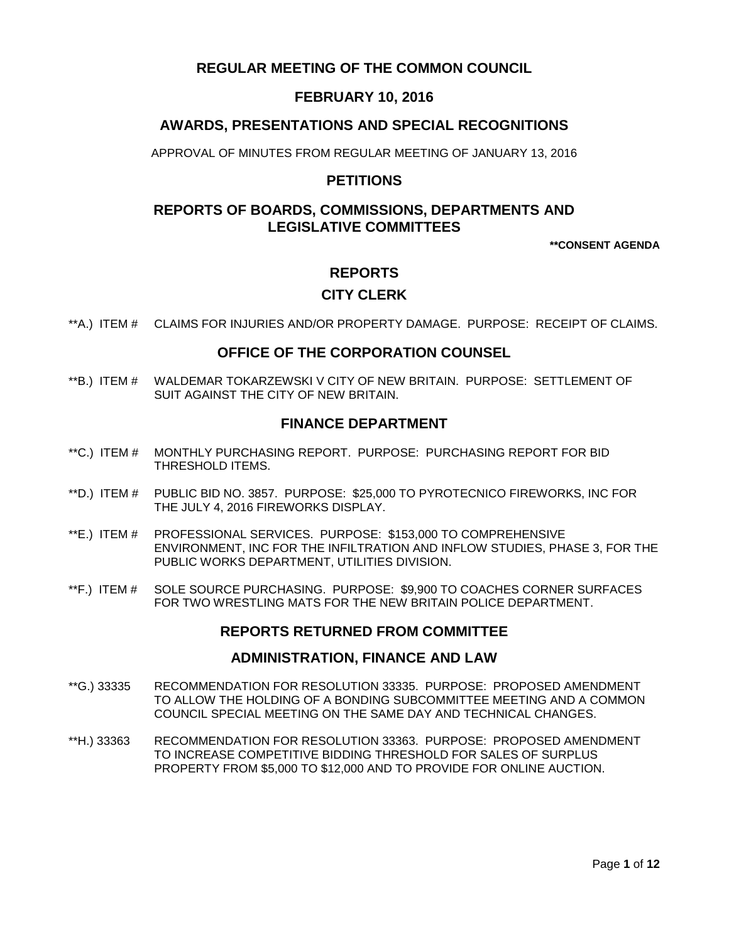# **REGULAR MEETING OF THE COMMON COUNCIL**

## **FEBRUARY 10, 2016**

### **AWARDS, PRESENTATIONS AND SPECIAL RECOGNITIONS**

APPROVAL OF MINUTES FROM REGULAR MEETING OF JANUARY 13, 2016

### **PETITIONS**

# **REPORTS OF BOARDS, COMMISSIONS, DEPARTMENTS AND LEGISLATIVE COMMITTEES**

**\*\*CONSENT AGENDA**

### **REPORTS**

### **CITY CLERK**

\*\*A.) ITEM # [CLAIMS FOR INJURIES AND/OR PROPERTY DAMAGE. PURPOSE: RECEIPT OF CLAIMS.](#page-2-0)

### **OFFICE OF THE CORPORATION COUNSEL**

\*\*B.) ITEM # WALDEMAR TOKARZEWSKI [V CITY OF NEW BRITAIN. PURPOSE: SETTLEMENT OF](#page-2-1)  [SUIT AGAINST THE CITY OF NEW BRITAIN.](#page-2-1) 

### **FINANCE DEPARTMENT**

- \*\*C.) ITEM # [MONTHLY PURCHASING REPORT. PURPOSE: PURCHASING REPORT FOR BID](#page-3-0)  [THRESHOLD ITEMS.](#page-3-0)
- \*\*D.) ITEM # [PUBLIC BID NO. 3857. PURPOSE: \\$25,000 TO PYROTECNICO FIREWORKS, INC FOR](#page-3-1)  THE JULY [4, 2016 FIREWORKS DISPLAY.](#page-3-1)
- \*\*E.) ITEM # [PROFESSIONAL SERVICES. PURPOSE: \\$153,000 TO COMPREHENSIVE](#page-4-0)  [ENVIRONMENT, INC FOR THE INFILTRATION AND INFLOW STUDIES, PHASE 3, FOR THE](#page-4-0)  [PUBLIC WORKS DEPARTMENT, UTILITIES DIVISION.](#page-4-0)
- \*\*F.) ITEM # [SOLE SOURCE PURCHASING. PURPOSE: \\$9,900 TO COACHES CORNER SURFACES](#page-5-0)  [FOR TWO WRESTLING MATS FOR THE NEW BRITAIN POLICE DEPARTMENT.](#page-5-0)

### **REPORTS RETURNED FROM COMMITTEE**

### **ADMINISTRATION, FINANCE AND LAW**

- \*\*G.) 33335 [RECOMMENDATION FOR RESOLUTION 33335. PURPOSE: PROPOSED AMENDMENT](#page-5-1)  [TO ALLOW THE HOLDING OF A BONDING SUBCOMMITTEE MEETING AND A COMMON](#page-5-1)  [COUNCIL SPECIAL MEETING ON THE SAME DAY AND TECHNICAL CHANGES.](#page-5-1)
- \*\*H.) 33363 [RECOMMENDATION FOR RESOLUTION 33363. PURPOSE: PROPOSED AMENDMENT](#page-6-0)  [TO INCREASE COMPETITIVE BIDDING THRESHOLD FOR SALES OF SURPLUS](#page-6-0)  [PROPERTY FROM \\$5,000 TO \\$12,000 AND TO PROVIDE FOR ONLINE AUCTION.](#page-6-0)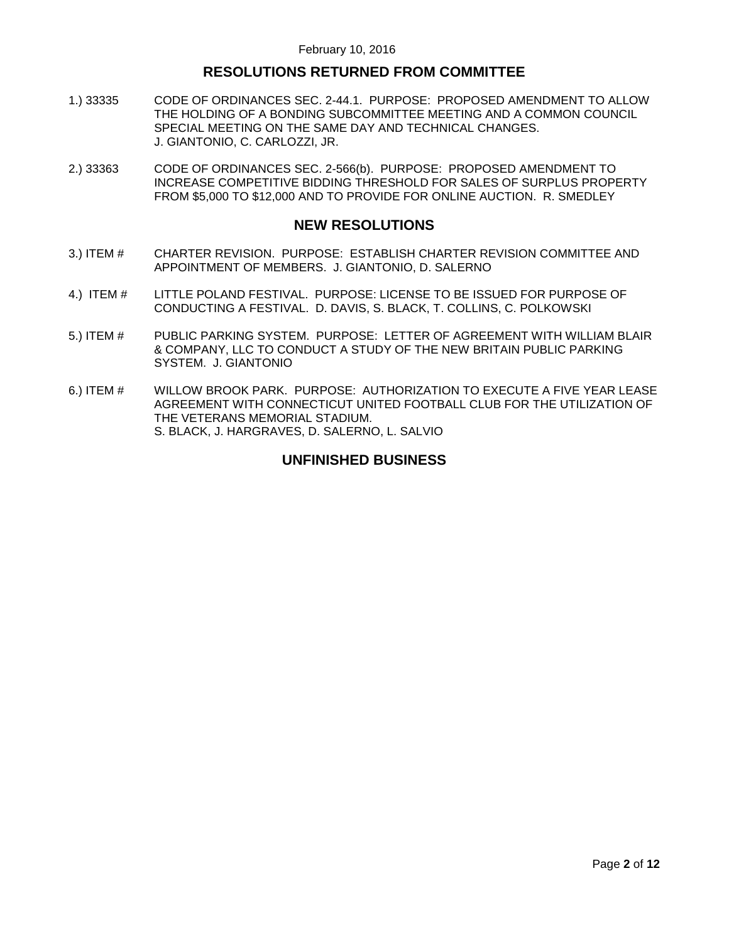# **RESOLUTIONS RETURNED FROM COMMITTEE**

- 1.) 33335 [CODE OF ORDINANCES SEC. 2-44.1. PURPOSE: PROPOSED AMENDMENT TO ALLOW](#page-6-1)  [THE HOLDING OF A BONDING SUBCOMMITTEE MEETING AND A COMMON COUNCIL](#page-6-1)  [SPECIAL MEETING ON THE SAME DAY AND TECHNICAL CHANGES.](#page-6-1)  [J. GIANTONIO, C. CARLOZZI, JR.](#page-6-1)
- 2.) 33363 [CODE OF ORDINANCES SEC. 2-566\(b\). PURPOSE: PROPOSED AMENDMENT TO](#page-7-0)  [INCREASE COMPETITIVE BIDDING THRESHOLD FOR SALES OF SURPLUS PROPERTY](#page-7-0)  [FROM \\$5,000 TO \\$12,000 AND TO PROVIDE FOR ONLINE AUCTION. R. SMEDLEY](#page-7-0)

### **NEW RESOLUTIONS**

- 3.) ITEM # [CHARTER REVISION. PURPOSE: ESTABLISH](#page-8-0) CHARTER REVISION COMMITTEE AND [APPOINTMENT OF MEMBERS. J. GIANTONIO, D. SALERNO](#page-8-0)
- 4.) ITEM # [LITTLE POLAND FESTIVAL. PURPOSE: LICENSE TO BE ISSUED FOR PURPOSE OF](#page-10-0)  [CONDUCTING A FESTIVAL. D. DAVIS, S. BLACK, T. COLLINS, C. POLKOWSKI](#page-10-0)
- 5.) ITEM # [PUBLIC PARKING SYSTEM. PURPOSE: LETTER OF AGREEMENT WITH WILLIAM BLAIR](#page-10-1)  [& COMPANY, LLC TO CONDUCT A STUDY OF THE NEW BRITAIN PUBLIC PARKING](#page-10-1)  [SYSTEM. J. GIANTONIO](#page-10-1)
- 6.) ITEM # [WILLOW BROOK PARK. PURPOSE: AUTHORIZATION TO EXECUTE A FIVE YEAR LEASE](#page-11-0)  [AGREEMENT WITH CONNECTICUT UNITED FOOTBALL CLUB FOR THE UTILIZATION OF](#page-11-0)  [THE VETERANS MEMORIAL STADIUM.](#page-11-0)  [S. BLACK, J. HARGRAVES, D. SALERNO, L. SALVIO](#page-11-0)

### **UNFINISHED BUSINESS**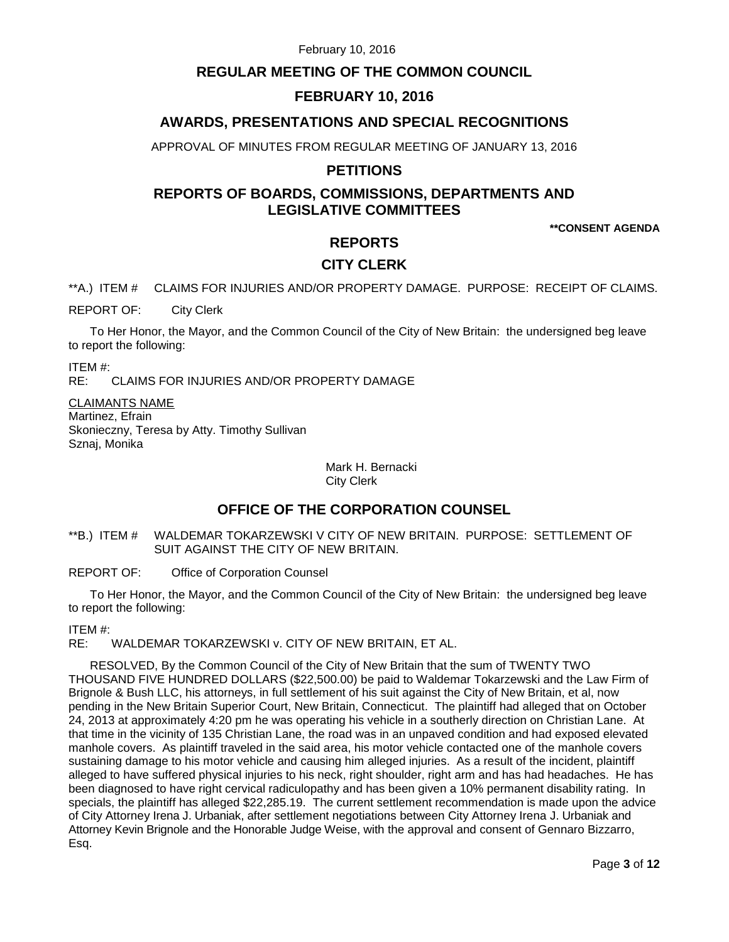# **REGULAR MEETING OF THE COMMON COUNCIL**

# **FEBRUARY 10, 2016**

# **AWARDS, PRESENTATIONS AND SPECIAL RECOGNITIONS**

APPROVAL OF MINUTES FROM REGULAR MEETING OF JANUARY 13, 2016

### **PETITIONS**

# **REPORTS OF BOARDS, COMMISSIONS, DEPARTMENTS AND LEGISLATIVE COMMITTEES**

**\*\*CONSENT AGENDA**

## **REPORTS**

### **CITY CLERK**

<span id="page-2-0"></span>\*\*A.) ITEM # CLAIMS FOR INJURIES AND/OR PROPERTY DAMAGE. PURPOSE: RECEIPT OF CLAIMS.

REPORT OF: City Clerk

To Her Honor, the Mayor, and the Common Council of the City of New Britain: the undersigned beg leave to report the following:

ITEM #:

RE: CLAIMS FOR INJURIES AND/OR PROPERTY DAMAGE

CLAIMANTS NAME Martinez, Efrain Skonieczny, Teresa by Atty. Timothy Sullivan Sznaj, Monika

> Mark H. Bernacki City Clerk

# **OFFICE OF THE CORPORATION COUNSEL**

#### <span id="page-2-1"></span>\*\*B.) ITEM # WALDEMAR TOKARZEWSKI V CITY OF NEW BRITAIN. PURPOSE: SETTLEMENT OF SUIT AGAINST THE CITY OF NEW BRITAIN.

REPORT OF: Office of Corporation Counsel

To Her Honor, the Mayor, and the Common Council of the City of New Britain: the undersigned beg leave to report the following:

ITEM #:

RE: WALDEMAR TOKARZEWSKI v. CITY OF NEW BRITAIN, ET AL.

RESOLVED, By the Common Council of the City of New Britain that the sum of TWENTY TWO THOUSAND FIVE HUNDRED DOLLARS (\$22,500.00) be paid to Waldemar Tokarzewski and the Law Firm of Brignole & Bush LLC, his attorneys, in full settlement of his suit against the City of New Britain, et al, now pending in the New Britain Superior Court, New Britain, Connecticut. The plaintiff had alleged that on October 24, 2013 at approximately 4:20 pm he was operating his vehicle in a southerly direction on Christian Lane. At that time in the vicinity of 135 Christian Lane, the road was in an unpaved condition and had exposed elevated manhole covers. As plaintiff traveled in the said area, his motor vehicle contacted one of the manhole covers sustaining damage to his motor vehicle and causing him alleged injuries. As a result of the incident, plaintiff alleged to have suffered physical injuries to his neck, right shoulder, right arm and has had headaches. He has been diagnosed to have right cervical radiculopathy and has been given a 10% permanent disability rating. In specials, the plaintiff has alleged \$22,285.19. The current settlement recommendation is made upon the advice of City Attorney Irena J. Urbaniak, after settlement negotiations between City Attorney Irena J. Urbaniak and Attorney Kevin Brignole and the Honorable Judge Weise, with the approval and consent of Gennaro Bizzarro, Esq.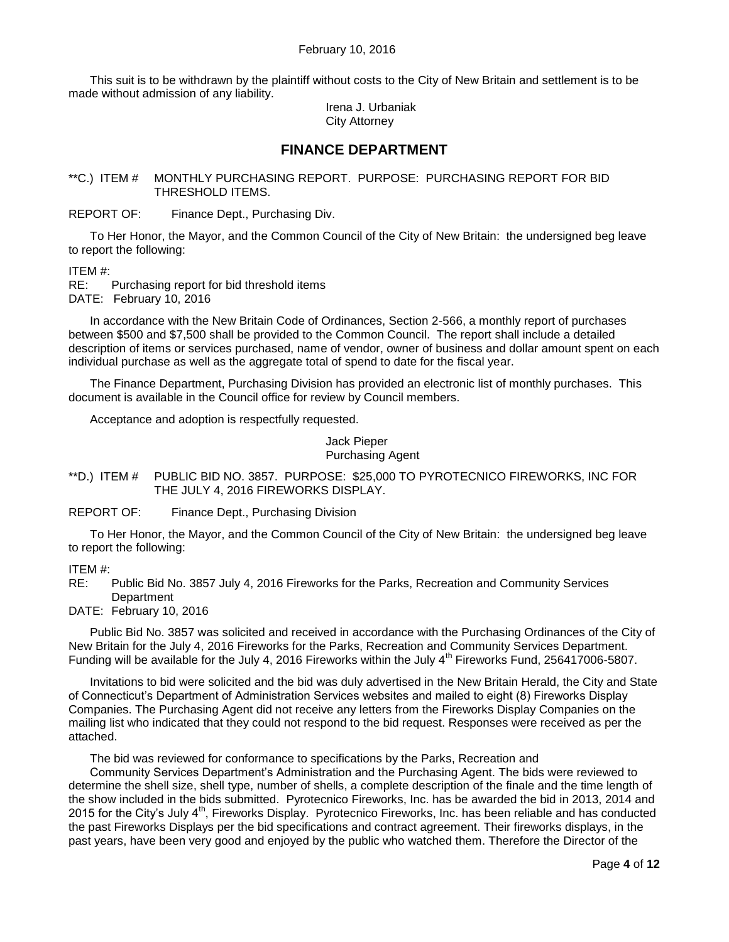This suit is to be withdrawn by the plaintiff without costs to the City of New Britain and settlement is to be made without admission of any liability.

> Irena J. Urbaniak City Attorney

### **FINANCE DEPARTMENT**

<span id="page-3-0"></span>\*\*C.) ITEM # MONTHLY PURCHASING REPORT. PURPOSE: PURCHASING REPORT FOR BID THRESHOLD ITEMS.

REPORT OF: Finance Dept., Purchasing Div.

To Her Honor, the Mayor, and the Common Council of the City of New Britain: the undersigned beg leave to report the following:

ITEM #:

RE: Purchasing report for bid threshold items DATE: February 10, 2016

In accordance with the New Britain Code of Ordinances, Section 2-566, a monthly report of purchases between \$500 and \$7,500 shall be provided to the Common Council. The report shall include a detailed description of items or services purchased, name of vendor, owner of business and dollar amount spent on each individual purchase as well as the aggregate total of spend to date for the fiscal year.

The Finance Department, Purchasing Division has provided an electronic list of monthly purchases. This document is available in the Council office for review by Council members.

Acceptance and adoption is respectfully requested.

Jack Pieper

Purchasing Agent

<span id="page-3-1"></span>\*\*D.) ITEM # PUBLIC BID NO. 3857. PURPOSE: \$25,000 TO PYROTECNICO FIREWORKS, INC FOR THE JULY 4, 2016 FIREWORKS DISPLAY.

REPORT OF: Finance Dept., Purchasing Division

To Her Honor, the Mayor, and the Common Council of the City of New Britain: the undersigned beg leave to report the following:

ITEM #:

RE: Public Bid No. 3857 July 4, 2016 Fireworks for the Parks, Recreation and Community Services **Department** 

DATE: February 10, 2016

Public Bid No. 3857 was solicited and received in accordance with the Purchasing Ordinances of the City of New Britain for the July 4, 2016 Fireworks for the Parks, Recreation and Community Services Department. Funding will be available for the July 4, 2016 Fireworks within the July 4<sup>th</sup> Fireworks Fund, 256417006-5807.

Invitations to bid were solicited and the bid was duly advertised in the New Britain Herald, the City and State of Connecticut's Department of Administration Services websites and mailed to eight (8) Fireworks Display Companies. The Purchasing Agent did not receive any letters from the Fireworks Display Companies on the mailing list who indicated that they could not respond to the bid request. Responses were received as per the attached.

The bid was reviewed for conformance to specifications by the Parks, Recreation and

Community Services Department's Administration and the Purchasing Agent. The bids were reviewed to determine the shell size, shell type, number of shells, a complete description of the finale and the time length of the show included in the bids submitted. Pyrotecnico Fireworks, Inc. has be awarded the bid in 2013, 2014 and 2015 for the City's July  $4<sup>th</sup>$ . Fireworks Display. Pyrotecnico Fireworks, Inc. has been reliable and has conducted the past Fireworks Displays per the bid specifications and contract agreement. Their fireworks displays, in the past years, have been very good and enjoyed by the public who watched them. Therefore the Director of the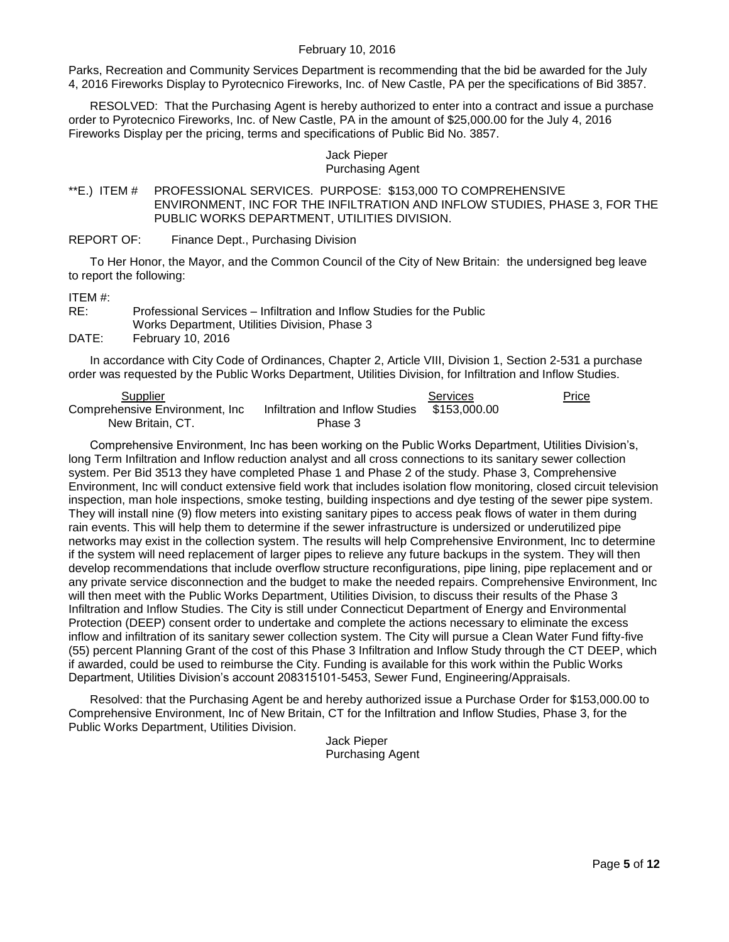Parks, Recreation and Community Services Department is recommending that the bid be awarded for the July 4, 2016 Fireworks Display to Pyrotecnico Fireworks, Inc. of New Castle, PA per the specifications of Bid 3857.

RESOLVED: That the Purchasing Agent is hereby authorized to enter into a contract and issue a purchase order to Pyrotecnico Fireworks, Inc. of New Castle, PA in the amount of \$25,000.00 for the July 4, 2016 Fireworks Display per the pricing, terms and specifications of Public Bid No. 3857.

#### Jack Pieper Purchasing Agent

<span id="page-4-0"></span>\*\*E.) ITEM # PROFESSIONAL SERVICES. PURPOSE: \$153,000 TO COMPREHENSIVE ENVIRONMENT, INC FOR THE INFILTRATION AND INFLOW STUDIES, PHASE 3, FOR THE PUBLIC WORKS DEPARTMENT, UTILITIES DIVISION.

REPORT OF: Finance Dept., Purchasing Division

To Her Honor, the Mayor, and the Common Council of the City of New Britain: the undersigned beg leave to report the following:

#### ITEM #:

RE: Professional Services – Infiltration and Inflow Studies for the Public Works Department, Utilities Division, Phase 3 DATE: February 10, 2016

In accordance with City Code of Ordinances, Chapter 2, Article VIII, Division 1, Section 2-531 a purchase order was requested by the Public Works Department, Utilities Division, for Infiltration and Inflow Studies.

| Supplier                        |                                              | Services | Price |
|---------------------------------|----------------------------------------------|----------|-------|
| Comprehensive Environment, Inc. | Infiltration and Inflow Studies \$153,000.00 |          |       |
| New Britain, CT.                | Phase 3                                      |          |       |

Comprehensive Environment, Inc has been working on the Public Works Department, Utilities Division's, long Term Infiltration and Inflow reduction analyst and all cross connections to its sanitary sewer collection system. Per Bid 3513 they have completed Phase 1 and Phase 2 of the study. Phase 3, Comprehensive Environment, Inc will conduct extensive field work that includes isolation flow monitoring, closed circuit television inspection, man hole inspections, smoke testing, building inspections and dye testing of the sewer pipe system. They will install nine (9) flow meters into existing sanitary pipes to access peak flows of water in them during rain events. This will help them to determine if the sewer infrastructure is undersized or underutilized pipe networks may exist in the collection system. The results will help Comprehensive Environment, Inc to determine if the system will need replacement of larger pipes to relieve any future backups in the system. They will then develop recommendations that include overflow structure reconfigurations, pipe lining, pipe replacement and or any private service disconnection and the budget to make the needed repairs. Comprehensive Environment, Inc will then meet with the Public Works Department, Utilities Division, to discuss their results of the Phase 3 Infiltration and Inflow Studies. The City is still under Connecticut Department of Energy and Environmental Protection (DEEP) consent order to undertake and complete the actions necessary to eliminate the excess inflow and infiltration of its sanitary sewer collection system. The City will pursue a Clean Water Fund fifty-five (55) percent Planning Grant of the cost of this Phase 3 Infiltration and Inflow Study through the CT DEEP, which if awarded, could be used to reimburse the City. Funding is available for this work within the Public Works Department, Utilities Division's account 208315101-5453, Sewer Fund, Engineering/Appraisals.

Resolved: that the Purchasing Agent be and hereby authorized issue a Purchase Order for \$153,000.00 to Comprehensive Environment, Inc of New Britain, CT for the Infiltration and Inflow Studies, Phase 3, for the Public Works Department, Utilities Division.

Jack Pieper Purchasing Agent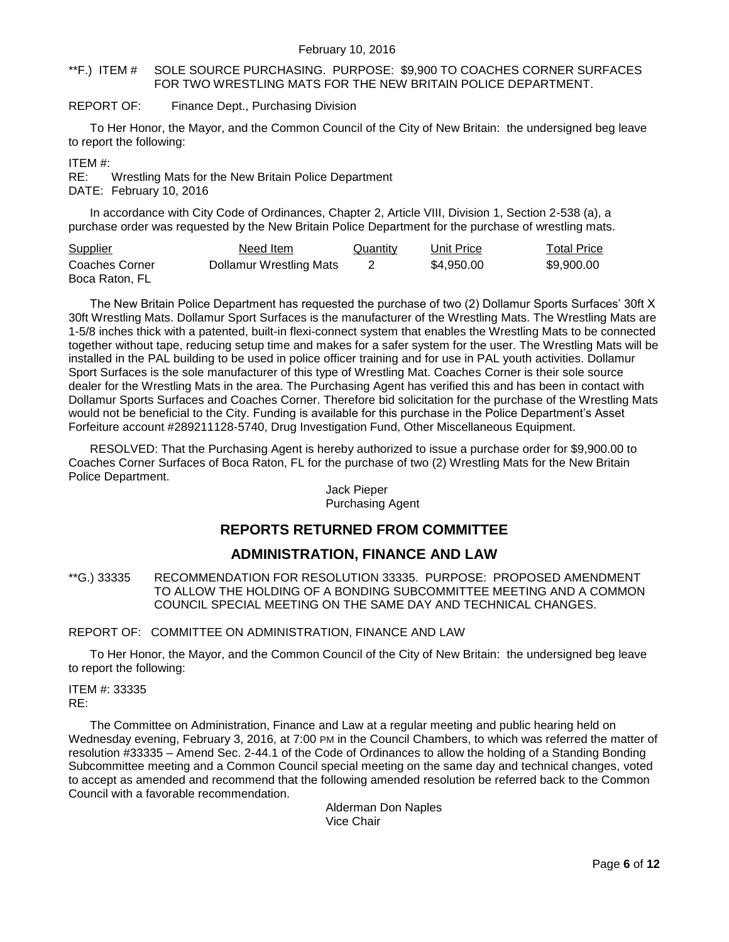#### <span id="page-5-0"></span>\*\*F.) ITEM # SOLE SOURCE PURCHASING. PURPOSE: \$9,900 TO COACHES CORNER SURFACES FOR TWO WRESTLING MATS FOR THE NEW BRITAIN POLICE DEPARTMENT.

#### REPORT OF: Finance Dept., Purchasing Division

To Her Honor, the Mayor, and the Common Council of the City of New Britain: the undersigned beg leave to report the following:

ITEM #:

RE: Wrestling Mats for the New Britain Police Department DATE: February 10, 2016

In accordance with City Code of Ordinances, Chapter 2, Article VIII, Division 1, Section 2-538 (a), a purchase order was requested by the New Britain Police Department for the purchase of wrestling mats.

| <b>Supplier</b>                  | Need Item               | Quantity | Unit Price | Total Price |
|----------------------------------|-------------------------|----------|------------|-------------|
| Coaches Corner<br>Boca Raton, FL | Dollamur Wrestling Mats |          | \$4,950,00 | \$9,900,00  |

The New Britain Police Department has requested the purchase of two (2) Dollamur Sports Surfaces' 30ft X 30ft Wrestling Mats. Dollamur Sport Surfaces is the manufacturer of the Wrestling Mats. The Wrestling Mats are 1-5/8 inches thick with a patented, built-in flexi-connect system that enables the Wrestling Mats to be connected together without tape, reducing setup time and makes for a safer system for the user. The Wrestling Mats will be installed in the PAL building to be used in police officer training and for use in PAL youth activities. Dollamur Sport Surfaces is the sole manufacturer of this type of Wrestling Mat. Coaches Corner is their sole source dealer for the Wrestling Mats in the area. The Purchasing Agent has verified this and has been in contact with Dollamur Sports Surfaces and Coaches Corner. Therefore bid solicitation for the purchase of the Wrestling Mats would not be beneficial to the City. Funding is available for this purchase in the Police Department's Asset Forfeiture account #289211128-5740, Drug Investigation Fund, Other Miscellaneous Equipment.

RESOLVED: That the Purchasing Agent is hereby authorized to issue a purchase order for \$9,900.00 to Coaches Corner Surfaces of Boca Raton, FL for the purchase of two (2) Wrestling Mats for the New Britain Police Department.

#### Jack Pieper Purchasing Agent

### **REPORTS RETURNED FROM COMMITTEE**

# **ADMINISTRATION, FINANCE AND LAW**

<span id="page-5-1"></span>\*\*G.) 33335 RECOMMENDATION FOR RESOLUTION 33335. PURPOSE: PROPOSED AMENDMENT TO ALLOW THE HOLDING OF A BONDING SUBCOMMITTEE MEETING AND A COMMON COUNCIL SPECIAL MEETING ON THE SAME DAY AND TECHNICAL CHANGES.

#### REPORT OF: COMMITTEE ON ADMINISTRATION, FINANCE AND LAW

To Her Honor, the Mayor, and the Common Council of the City of New Britain: the undersigned beg leave to report the following:

ITEM #: 33335 RE:

The Committee on Administration, Finance and Law at a regular meeting and public hearing held on Wednesday evening, February 3, 2016, at 7:00 PM in the Council Chambers, to which was referred the matter of resolution #33335 – Amend Sec. 2-44.1 of the Code of Ordinances to allow the holding of a Standing Bonding Subcommittee meeting and a Common Council special meeting on the same day and technical changes, voted to accept as amended and recommend that the following amended resolution be referred back to the Common Council with a favorable recommendation.

> Alderman Don Naples Vice Chair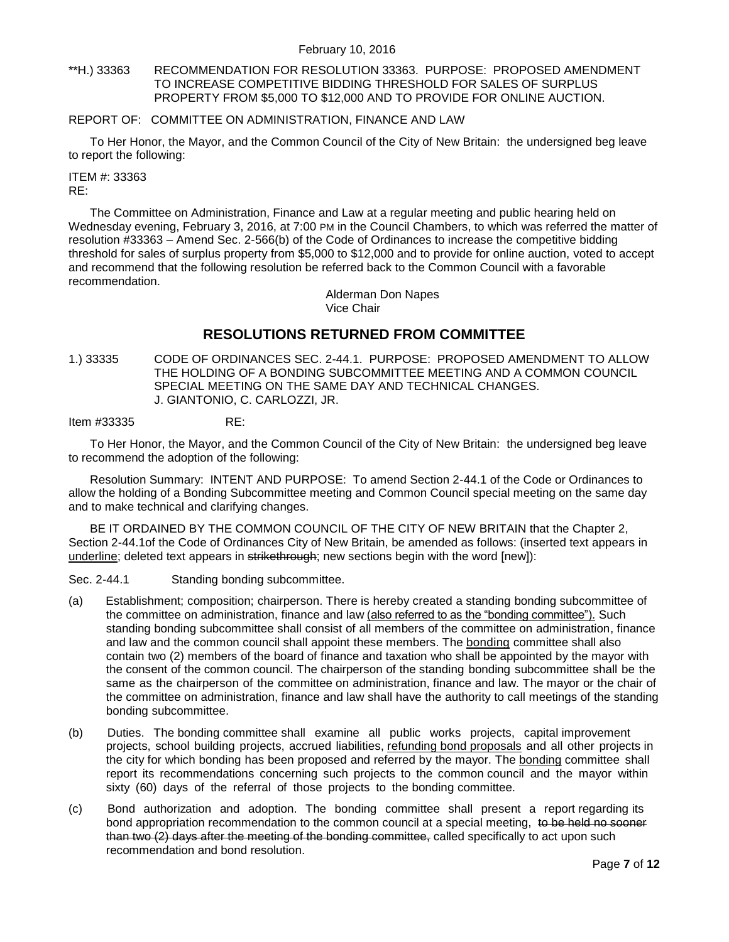<span id="page-6-0"></span>\*\*H.) 33363 RECOMMENDATION FOR RESOLUTION 33363. PURPOSE: PROPOSED AMENDMENT TO INCREASE COMPETITIVE BIDDING THRESHOLD FOR SALES OF SURPLUS PROPERTY FROM \$5,000 TO \$12,000 AND TO PROVIDE FOR ONLINE AUCTION.

#### REPORT OF: COMMITTEE ON ADMINISTRATION, FINANCE AND LAW

To Her Honor, the Mayor, and the Common Council of the City of New Britain: the undersigned beg leave to report the following:

# ITEM #: 33363

RE:

The Committee on Administration, Finance and Law at a regular meeting and public hearing held on Wednesday evening, February 3, 2016, at 7:00 PM in the Council Chambers, to which was referred the matter of resolution #33363 – Amend Sec. 2-566(b) of the Code of Ordinances to increase the competitive bidding threshold for sales of surplus property from \$5,000 to \$12,000 and to provide for online auction, voted to accept and recommend that the following resolution be referred back to the Common Council with a favorable recommendation.

> Alderman Don Napes Vice Chair

# **RESOLUTIONS RETURNED FROM COMMITTEE**

<span id="page-6-1"></span>1.) 33335 CODE OF ORDINANCES SEC. 2-44.1. PURPOSE: PROPOSED AMENDMENT TO ALLOW THE HOLDING OF A BONDING SUBCOMMITTEE MEETING AND A COMMON COUNCIL SPECIAL MEETING ON THE SAME DAY AND TECHNICAL CHANGES. J. GIANTONIO, C. CARLOZZI, JR.

Item #33335 RE:

To Her Honor, the Mayor, and the Common Council of the City of New Britain: the undersigned beg leave to recommend the adoption of the following:

Resolution Summary: INTENT AND PURPOSE: To amend Section 2-44.1 of the Code or Ordinances to allow the holding of a Bonding Subcommittee meeting and Common Council special meeting on the same day and to make technical and clarifying changes.

BE IT ORDAINED BY THE COMMON COUNCIL OF THE CITY OF NEW BRITAIN that the Chapter 2, Section 2-44.1of the Code of Ordinances City of New Britain, be amended as follows: (inserted text appears in underline; deleted text appears in strikethrough; new sections begin with the word [new]):

Sec. 2-44.1 Standing bonding subcommittee.

- (a) Establishment; composition; chairperson. There is hereby created a standing bonding subcommittee of the committee on administration, finance and law (also referred to as the "bonding committee"). Such standing bonding subcommittee shall consist of all members of the committee on administration, finance and law and the common council shall appoint these members. The bonding committee shall also contain two (2) members of the board of finance and taxation who shall be appointed by the mayor with the consent of the common council. The chairperson of the standing bonding subcommittee shall be the same as the chairperson of the committee on administration, finance and law. The mayor or the chair of the committee on administration, finance and law shall have the authority to call meetings of the standing bonding subcommittee.
- (b) Duties. The bonding committee shall examine all public works projects, capital improvement projects, school building projects, accrued liabilities, refunding bond proposals and all other projects in the city for which bonding has been proposed and referred by the mayor. The bonding committee shall report its recommendations concerning such projects to the common council and the mayor within sixty (60) days of the referral of those projects to the bonding committee.
- (c) Bond authorization and adoption. The bonding committee shall present a report regarding its bond appropriation recommendation to the common council at a special meeting, to be held no sooner than two (2) days after the meeting of the bonding committee, called specifically to act upon such recommendation and bond resolution.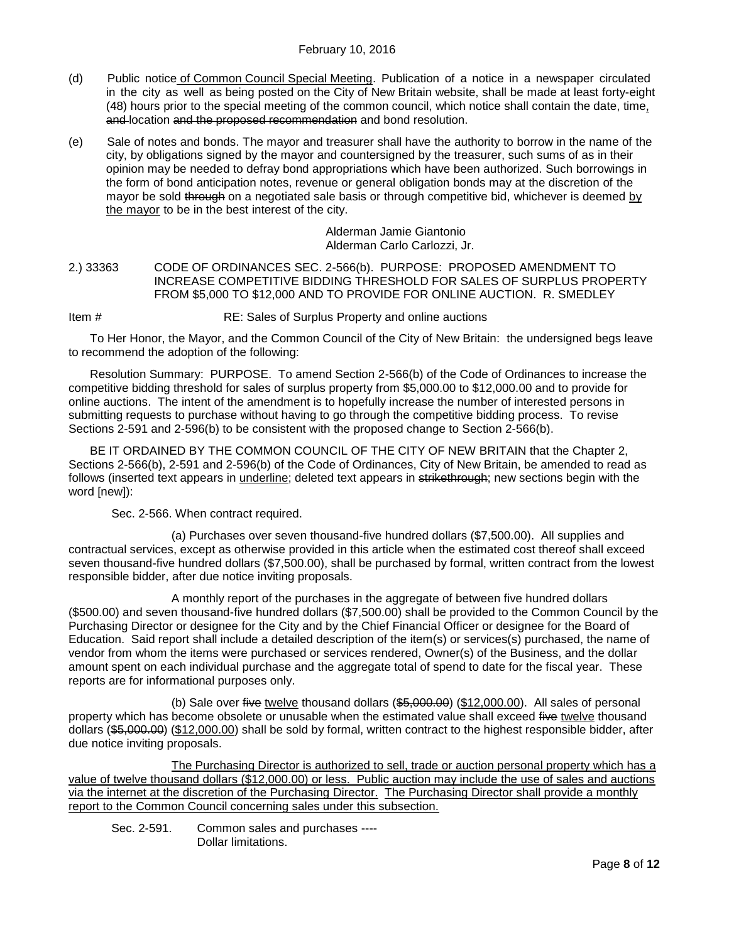- (d) Public notice of Common Council Special Meeting. Publication of a notice in a newspaper circulated in the city as well as being posted on the City of New Britain website, shall be made at least forty-eight (48) hours prior to the special meeting of the common council, which notice shall contain the date, time, and location and the proposed recommendation and bond resolution.
- (e) Sale of notes and bonds. The mayor and treasurer shall have the authority to borrow in the name of the city, by obligations signed by the mayor and countersigned by the treasurer, such sums of as in their opinion may be needed to defray bond appropriations which have been authorized. Such borrowings in the form of bond anticipation notes, revenue or general obligation bonds may at the discretion of the mayor be sold through on a negotiated sale basis or through competitive bid, whichever is deemed by the mayor to be in the best interest of the city.

Alderman Jamie Giantonio Alderman Carlo Carlozzi, Jr.

<span id="page-7-0"></span>2.) 33363 CODE OF ORDINANCES SEC. 2-566(b). PURPOSE: PROPOSED AMENDMENT TO INCREASE COMPETITIVE BIDDING THRESHOLD FOR SALES OF SURPLUS PROPERTY FROM \$5,000 TO \$12,000 AND TO PROVIDE FOR ONLINE AUCTION. R. SMEDLEY

Item # RE: Sales of Surplus Property and online auctions

To Her Honor, the Mayor, and the Common Council of the City of New Britain: the undersigned begs leave to recommend the adoption of the following:

Resolution Summary: PURPOSE. To amend Section 2-566(b) of the Code of Ordinances to increase the competitive bidding threshold for sales of surplus property from \$5,000.00 to \$12,000.00 and to provide for online auctions. The intent of the amendment is to hopefully increase the number of interested persons in submitting requests to purchase without having to go through the competitive bidding process. To revise Sections 2-591 and 2-596(b) to be consistent with the proposed change to Section 2-566(b).

BE IT ORDAINED BY THE COMMON COUNCIL OF THE CITY OF NEW BRITAIN that the Chapter 2, Sections 2-566(b), 2-591 and 2-596(b) of the Code of Ordinances, City of New Britain, be amended to read as follows (inserted text appears in underline; deleted text appears in strikethrough; new sections begin with the word [new]):

Sec. 2-566. When contract required.

(a) Purchases over seven thousand-five hundred dollars (\$7,500.00). All supplies and contractual services, except as otherwise provided in this article when the estimated cost thereof shall exceed seven thousand-five hundred dollars (\$7,500.00), shall be purchased by formal, written contract from the lowest responsible bidder, after due notice inviting proposals.

A monthly report of the purchases in the aggregate of between five hundred dollars (\$500.00) and seven thousand-five hundred dollars (\$7,500.00) shall be provided to the Common Council by the Purchasing Director or designee for the City and by the Chief Financial Officer or designee for the Board of Education. Said report shall include a detailed description of the item(s) or services(s) purchased, the name of vendor from whom the items were purchased or services rendered, Owner(s) of the Business, and the dollar amount spent on each individual purchase and the aggregate total of spend to date for the fiscal year. These reports are for informational purposes only.

(b) Sale over five twelve thousand dollars (\$5,000.00) (\$12,000.00). All sales of personal property which has become obsolete or unusable when the estimated value shall exceed five twelve thousand dollars (\$5,000.00) (\$12,000.00) shall be sold by formal, written contract to the highest responsible bidder, after due notice inviting proposals.

The Purchasing Director is authorized to sell, trade or auction personal property which has a value of twelve thousand dollars (\$12,000.00) or less. Public auction may include the use of sales and auctions via the internet at the discretion of the Purchasing Director. The Purchasing Director shall provide a monthly report to the Common Council concerning sales under this subsection.

Sec. 2-591. Common sales and purchases ---- Dollar limitations.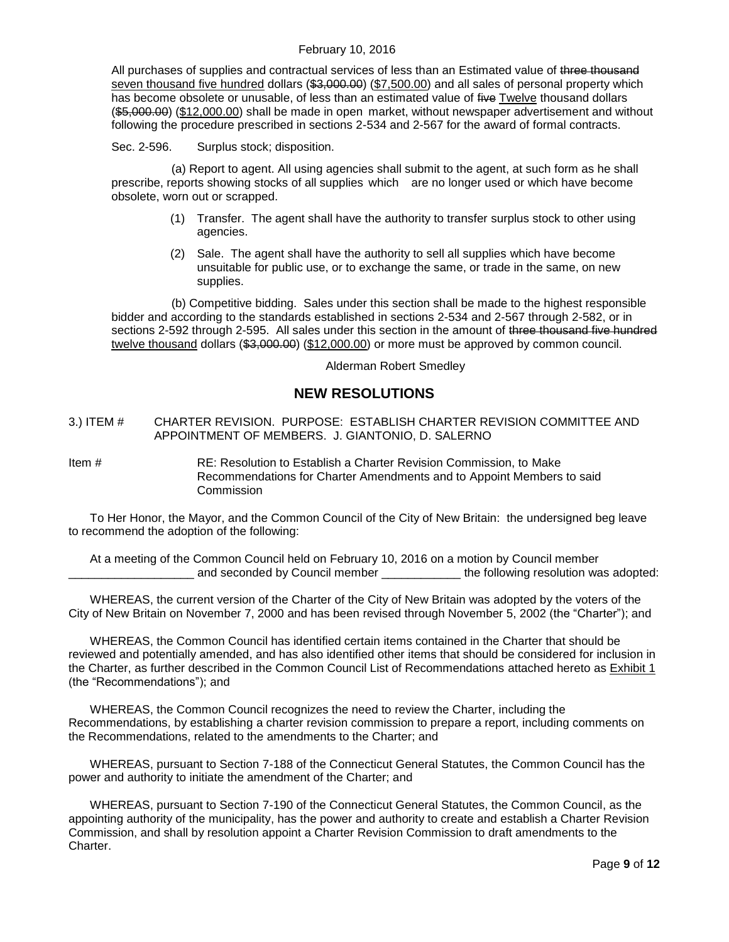All purchases of supplies and contractual services of less than an Estimated value of three thousand seven thousand five hundred dollars (\$3,000.00) (\$7,500.00) and all sales of personal property which has become obsolete or unusable, of less than an estimated value of five Twelve thousand dollars (\$5,000.00) (\$12,000.00) shall be made in open market, without newspaper advertisement and without following the procedure prescribed in sections 2-534 and 2-567 for the award of formal contracts.

Sec. 2-596. Surplus stock; disposition.

(a) Report to agent. All using agencies shall submit to the agent, at such form as he shall prescribe, reports showing stocks of all supplies which are no longer used or which have become obsolete, worn out or scrapped.

- (1) Transfer. The agent shall have the authority to transfer surplus stock to other using agencies.
- (2) Sale. The agent shall have the authority to sell all supplies which have become unsuitable for public use, or to exchange the same, or trade in the same, on new supplies.

(b) Competitive bidding. Sales under this section shall be made to the highest responsible bidder and according to the standards established in sections 2-534 and 2-567 through 2-582, or in sections 2-592 through 2-595. All sales under this section in the amount of three thousand five hundred twelve thousand dollars (\$3,000.00) (\$12,000.00) or more must be approved by common council.

Alderman Robert Smedley

# **NEW RESOLUTIONS**

#### <span id="page-8-0"></span>3.) ITEM # CHARTER REVISION. PURPOSE: ESTABLISH CHARTER REVISION COMMITTEE AND APPOINTMENT OF MEMBERS. J. GIANTONIO, D. SALERNO

Item # RE: Resolution to Establish a Charter Revision Commission, to Make Recommendations for Charter Amendments and to Appoint Members to said **Commission** 

To Her Honor, the Mayor, and the Common Council of the City of New Britain: the undersigned beg leave to recommend the adoption of the following:

At a meeting of the Common Council held on February 10, 2016 on a motion by Council member and seconded by Council member \_\_\_\_\_\_\_\_\_\_\_\_\_\_ the following resolution was adopted:

WHEREAS, the current version of the Charter of the City of New Britain was adopted by the voters of the City of New Britain on November 7, 2000 and has been revised through November 5, 2002 (the "Charter"); and

WHEREAS, the Common Council has identified certain items contained in the Charter that should be reviewed and potentially amended, and has also identified other items that should be considered for inclusion in the Charter, as further described in the Common Council List of Recommendations attached hereto as Exhibit 1 (the "Recommendations"); and

WHEREAS, the Common Council recognizes the need to review the Charter, including the Recommendations, by establishing a charter revision commission to prepare a report, including comments on the Recommendations, related to the amendments to the Charter; and

WHEREAS, pursuant to Section 7-188 of the Connecticut General Statutes, the Common Council has the power and authority to initiate the amendment of the Charter; and

WHEREAS, pursuant to Section 7-190 of the Connecticut General Statutes, the Common Council, as the appointing authority of the municipality, has the power and authority to create and establish a Charter Revision Commission, and shall by resolution appoint a Charter Revision Commission to draft amendments to the Charter.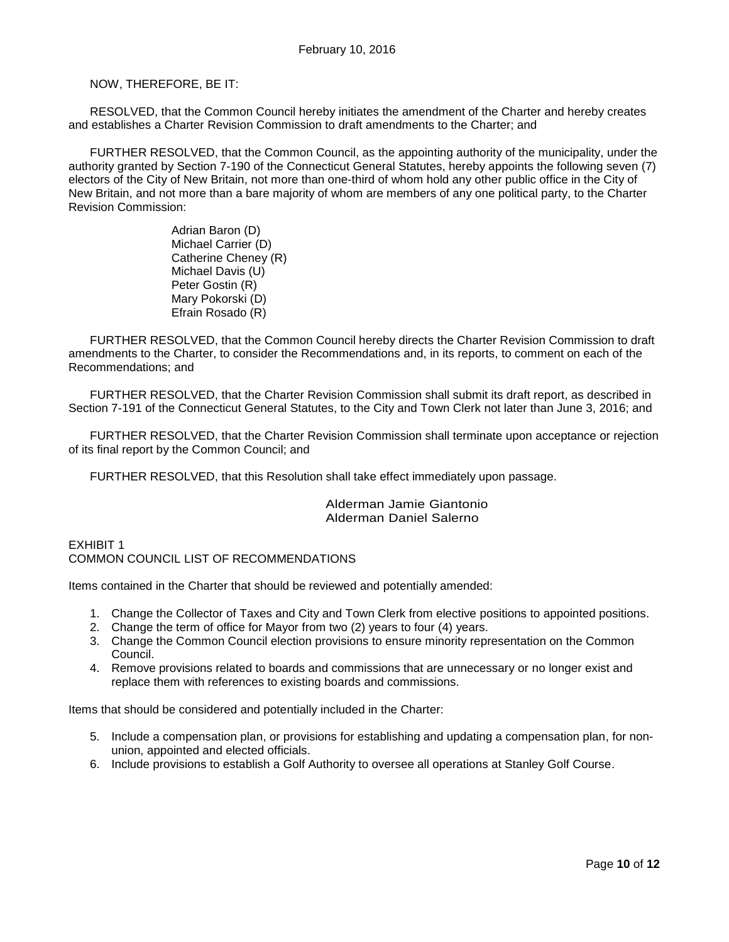#### NOW, THEREFORE, BE IT:

RESOLVED, that the Common Council hereby initiates the amendment of the Charter and hereby creates and establishes a Charter Revision Commission to draft amendments to the Charter; and

FURTHER RESOLVED, that the Common Council, as the appointing authority of the municipality, under the authority granted by Section 7-190 of the Connecticut General Statutes, hereby appoints the following seven (7) electors of the City of New Britain, not more than one-third of whom hold any other public office in the City of New Britain, and not more than a bare majority of whom are members of any one political party, to the Charter Revision Commission:

> Adrian Baron (D) Michael Carrier (D) Catherine Cheney (R) Michael Davis (U) Peter Gostin (R) Mary Pokorski (D) Efrain Rosado (R)

FURTHER RESOLVED, that the Common Council hereby directs the Charter Revision Commission to draft amendments to the Charter, to consider the Recommendations and, in its reports, to comment on each of the Recommendations; and

FURTHER RESOLVED, that the Charter Revision Commission shall submit its draft report, as described in Section 7-191 of the Connecticut General Statutes, to the City and Town Clerk not later than June 3, 2016; and

FURTHER RESOLVED, that the Charter Revision Commission shall terminate upon acceptance or rejection of its final report by the Common Council; and

FURTHER RESOLVED, that this Resolution shall take effect immediately upon passage.

#### Alderman Jamie Giantonio Alderman Daniel Salerno

EXHIBIT 1 COMMON COUNCIL LIST OF RECOMMENDATIONS

Items contained in the Charter that should be reviewed and potentially amended:

- 1. Change the Collector of Taxes and City and Town Clerk from elective positions to appointed positions.
- 2. Change the term of office for Mayor from two (2) years to four (4) years.
- 3. Change the Common Council election provisions to ensure minority representation on the Common Council.
- 4. Remove provisions related to boards and commissions that are unnecessary or no longer exist and replace them with references to existing boards and commissions.

Items that should be considered and potentially included in the Charter:

- 5. Include a compensation plan, or provisions for establishing and updating a compensation plan, for nonunion, appointed and elected officials.
- 6. Include provisions to establish a Golf Authority to oversee all operations at Stanley Golf Course.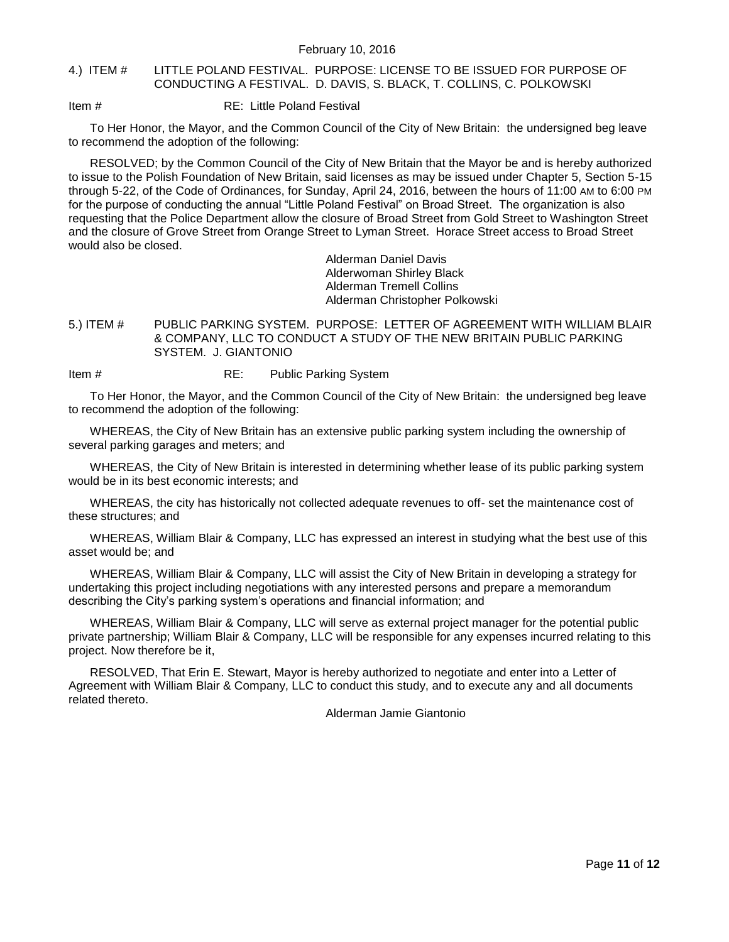#### <span id="page-10-0"></span>4.) ITEM # LITTLE POLAND FESTIVAL. PURPOSE: LICENSE TO BE ISSUED FOR PURPOSE OF CONDUCTING A FESTIVAL. D. DAVIS, S. BLACK, T. COLLINS, C. POLKOWSKI

Item # RE: Little Poland Festival

To Her Honor, the Mayor, and the Common Council of the City of New Britain: the undersigned beg leave to recommend the adoption of the following:

RESOLVED; by the Common Council of the City of New Britain that the Mayor be and is hereby authorized to issue to the Polish Foundation of New Britain, said licenses as may be issued under Chapter 5, Section 5-15 through 5-22, of the Code of Ordinances, for Sunday, April 24, 2016, between the hours of 11:00 AM to 6:00 PM for the purpose of conducting the annual "Little Poland Festival" on Broad Street. The organization is also requesting that the Police Department allow the closure of Broad Street from Gold Street to Washington Street and the closure of Grove Street from Orange Street to Lyman Street. Horace Street access to Broad Street would also be closed.

> Alderman Daniel Davis Alderwoman Shirley Black Alderman Tremell Collins Alderman Christopher Polkowski

<span id="page-10-1"></span>5.) ITEM # PUBLIC PARKING SYSTEM. PURPOSE: LETTER OF AGREEMENT WITH WILLIAM BLAIR & COMPANY, LLC TO CONDUCT A STUDY OF THE NEW BRITAIN PUBLIC PARKING SYSTEM. J. GIANTONIO

Item # RE: Public Parking System

To Her Honor, the Mayor, and the Common Council of the City of New Britain: the undersigned beg leave to recommend the adoption of the following:

WHEREAS, the City of New Britain has an extensive public parking system including the ownership of several parking garages and meters; and

WHEREAS, the City of New Britain is interested in determining whether lease of its public parking system would be in its best economic interests; and

WHEREAS, the city has historically not collected adequate revenues to off- set the maintenance cost of these structures; and

WHEREAS, William Blair & Company, LLC has expressed an interest in studying what the best use of this asset would be; and

WHEREAS, William Blair & Company, LLC will assist the City of New Britain in developing a strategy for undertaking this project including negotiations with any interested persons and prepare a memorandum describing the City's parking system's operations and financial information; and

WHEREAS, William Blair & Company, LLC will serve as external project manager for the potential public private partnership; William Blair & Company, LLC will be responsible for any expenses incurred relating to this project. Now therefore be it,

RESOLVED, That Erin E. Stewart, Mayor is hereby authorized to negotiate and enter into a Letter of Agreement with William Blair & Company, LLC to conduct this study, and to execute any and all documents related thereto.

Alderman Jamie Giantonio